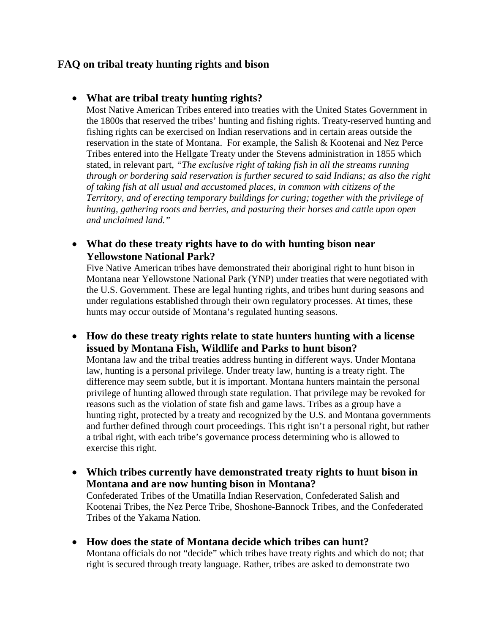# **FAQ on tribal treaty hunting rights and bison**

#### • **What are tribal treaty hunting rights?**

Most Native American Tribes entered into treaties with the United States Government in the 1800s that reserved the tribes' hunting and fishing rights. Treaty-reserved hunting and fishing rights can be exercised on Indian reservations and in certain areas outside the reservation in the state of Montana. For example, the Salish & Kootenai and Nez Perce Tribes entered into the Hellgate Treaty under the Stevens administration in 1855 which stated, in relevant part, *"The exclusive right of taking fish in all the streams running through or bordering said reservation is further secured to said Indians; as also the right of taking fish at all usual and accustomed places, in common with citizens of the Territory, and of erecting temporary buildings for curing; together with the privilege of hunting, gathering roots and berries, and pasturing their horses and cattle upon open and unclaimed land."*

### • **What do these treaty rights have to do with hunting bison near Yellowstone National Park?**

Five Native American tribes have demonstrated their aboriginal right to hunt bison in Montana near Yellowstone National Park (YNP) under treaties that were negotiated with the U.S. Government. These are legal hunting rights, and tribes hunt during seasons and under regulations established through their own regulatory processes. At times, these hunts may occur outside of Montana's regulated hunting seasons.

• **How do these treaty rights relate to state hunters hunting with a license issued by Montana Fish, Wildlife and Parks to hunt bison?**

Montana law and the tribal treaties address hunting in different ways. Under Montana law, hunting is a personal privilege. Under treaty law, hunting is a treaty right. The difference may seem subtle, but it is important. Montana hunters maintain the personal privilege of hunting allowed through state regulation. That privilege may be revoked for reasons such as the violation of state fish and game laws. Tribes as a group have a hunting right, protected by a treaty and recognized by the U.S. and Montana governments and further defined through court proceedings. This right isn't a personal right, but rather a tribal right, with each tribe's governance process determining who is allowed to exercise this right.

- **Which tribes currently have demonstrated treaty rights to hunt bison in Montana and are now hunting bison in Montana?** Confederated Tribes of the Umatilla Indian Reservation, Confederated Salish and Kootenai Tribes, the Nez Perce Tribe, Shoshone-Bannock Tribes, and the Confederated Tribes of the Yakama Nation.
- **How does the state of Montana decide which tribes can hunt?** Montana officials do not "decide" which tribes have treaty rights and which do not; that right is secured through treaty language. Rather, tribes are asked to demonstrate two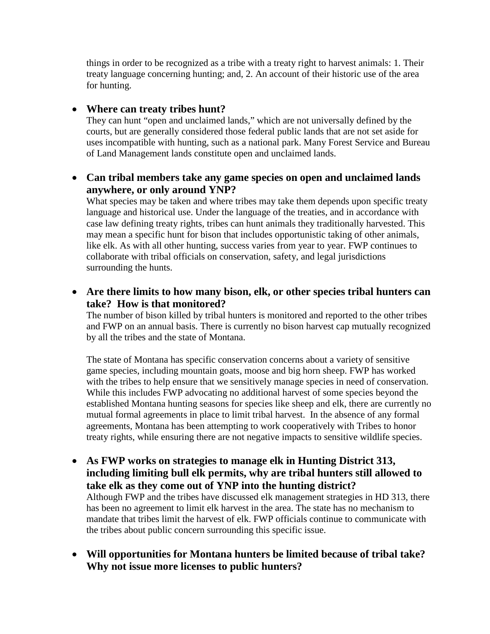things in order to be recognized as a tribe with a treaty right to harvest animals: 1. Their treaty language concerning hunting; and, 2. An account of their historic use of the area for hunting.

## • **Where can treaty tribes hunt?**

They can hunt "open and unclaimed lands," which are not universally defined by the courts, but are generally considered those federal public lands that are not set aside for uses incompatible with hunting, such as a national park. Many Forest Service and Bureau of Land Management lands constitute open and unclaimed lands.

## • **Can tribal members take any game species on open and unclaimed lands anywhere, or only around YNP?**

What species may be taken and where tribes may take them depends upon specific treaty language and historical use. Under the language of the treaties, and in accordance with case law defining treaty rights, tribes can hunt animals they traditionally harvested. This may mean a specific hunt for bison that includes opportunistic taking of other animals, like elk. As with all other hunting, success varies from year to year. FWP continues to collaborate with tribal officials on conservation, safety, and legal jurisdictions surrounding the hunts.

### • **Are there limits to how many bison, elk, or other species tribal hunters can take? How is that monitored?**

The number of bison killed by tribal hunters is monitored and reported to the other tribes and FWP on an annual basis. There is currently no bison harvest cap mutually recognized by all the tribes and the state of Montana.

The state of Montana has specific conservation concerns about a variety of sensitive game species, including mountain goats, moose and big horn sheep. FWP has worked with the tribes to help ensure that we sensitively manage species in need of conservation. While this includes FWP advocating no additional harvest of some species beyond the established Montana hunting seasons for species like sheep and elk, there are currently no mutual formal agreements in place to limit tribal harvest. In the absence of any formal agreements, Montana has been attempting to work cooperatively with Tribes to honor treaty rights, while ensuring there are not negative impacts to sensitive wildlife species.

- **As FWP works on strategies to manage elk in Hunting District 313, including limiting bull elk permits, why are tribal hunters still allowed to take elk as they come out of YNP into the hunting district?** Although FWP and the tribes have discussed elk management strategies in HD 313, there has been no agreement to limit elk harvest in the area. The state has no mechanism to mandate that tribes limit the harvest of elk. FWP officials continue to communicate with the tribes about public concern surrounding this specific issue.
- **Will opportunities for Montana hunters be limited because of tribal take? Why not issue more licenses to public hunters?**